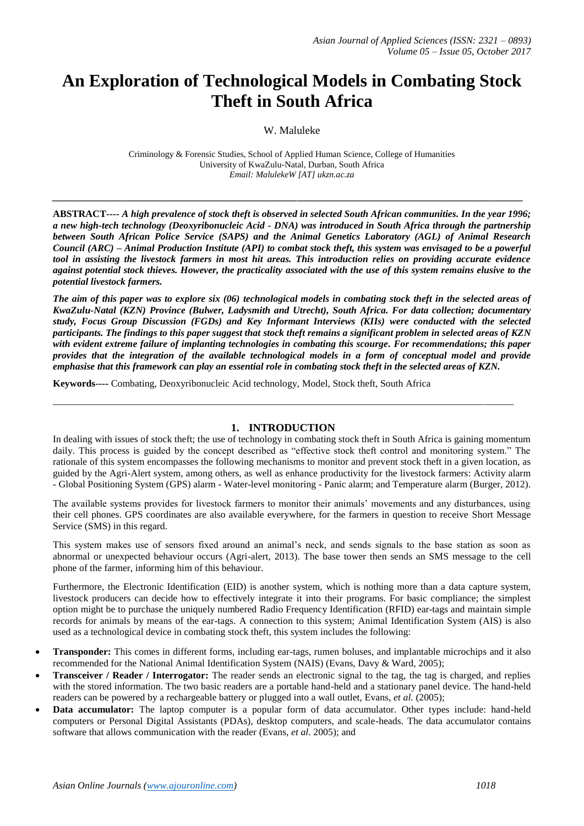# **An Exploration of Technological Models in Combating Stock Theft in South Africa**

W. Maluleke

Criminology & Forensic Studies, School of Applied Human Science, College of Humanities University of KwaZulu-Natal, Durban, South Africa *Email: MalulekeW [AT] ukzn.ac.za*

*\_\_\_\_\_\_\_\_\_\_\_\_\_\_\_\_\_\_\_\_\_\_\_\_\_\_\_\_\_\_\_\_\_\_\_\_\_\_\_\_\_\_\_\_\_\_\_\_\_\_\_\_\_\_\_\_\_\_\_\_\_\_\_\_\_\_\_\_\_\_\_\_\_\_\_\_\_\_\_\_\_\_\_\_\_\_\_\_\_\_\_\_\_\_\_\_*

**ABSTRACT----** *A high prevalence of stock theft is observed in selected South African communities. In the year 1996; a new high-tech technology (Deoxyribonucleic Acid - DNA) was introduced in South Africa through the partnership between South African Police Service (SAPS) and the Animal Genetics Laboratory (AGL) of Animal Research Council (ARC) – Animal Production Institute (API) to combat stock theft, this system was envisaged to be a powerful tool in assisting the livestock farmers in most hit areas. This introduction relies on providing accurate evidence against potential stock thieves. However, the practicality associated with the use of this system remains elusive to the potential livestock farmers.* 

*The aim of this paper was to explore six (06) technological models in combating stock theft in the selected areas of KwaZulu-Natal (KZN) Province (Bulwer, Ladysmith and Utrecht), South Africa. For data collection; documentary study, Focus Group Discussion (FGDs) and Key Informant Interviews (KIIs) were conducted with the selected participants. The findings to this paper suggest that stock theft remains a significant problem in selected areas of KZN with evident extreme failure of implanting technologies in combating this scourge. For recommendations; this paper provides that the integration of the available technological models in a form of conceptual model and provide emphasise that this framework can play an essential role in combating stock theft in the selected areas of KZN.*

**Keywords----** Combating, Deoxyribonucleic Acid technology, Model, Stock theft, South Africa

## **1. INTRODUCTION**

\_\_\_\_\_\_\_\_\_\_\_\_\_\_\_\_\_\_\_\_\_\_\_\_\_\_\_\_\_\_\_\_\_\_\_\_\_\_\_\_\_\_\_\_\_\_\_\_\_\_\_\_\_\_\_\_\_\_\_\_\_\_\_\_\_\_\_\_\_\_\_\_\_\_\_\_\_\_\_\_\_\_\_\_\_\_\_\_\_\_\_\_\_\_

In dealing with issues of stock theft; the use of technology in combating stock theft in South Africa is gaining momentum daily. This process is guided by the concept described as "effective stock theft control and monitoring system." The rationale of this system encompasses the following mechanisms to monitor and prevent stock theft in a given location, as guided by the Agri-Alert system, among others, as well as enhance productivity for the livestock farmers: Activity alarm - Global Positioning System (GPS) alarm - Water-level monitoring - Panic alarm; and Temperature alarm (Burger, 2012).

The available systems provides for livestock farmers to monitor their animals' movements and any disturbances, using their cell phones. GPS coordinates are also available everywhere, for the farmers in question to receive Short Message Service (SMS) in this regard.

This system makes use of sensors fixed around an animal's neck, and sends signals to the base station as soon as abnormal or unexpected behaviour occurs (Agri-alert, 2013). The base tower then sends an SMS message to the cell phone of the farmer, informing him of this behaviour.

Furthermore, the Electronic Identification (EID) is another system, which is nothing more than a data capture system, livestock producers can decide how to effectively integrate it into their programs. For basic compliance; the simplest option might be to purchase the uniquely numbered Radio Frequency Identification (RFID) ear-tags and maintain simple records for animals by means of the ear-tags. A connection to this system; Animal Identification System (AIS) is also used as a technological device in combating stock theft, this system includes the following:

- **Transponder:** This comes in different forms, including ear-tags, rumen boluses, and implantable microchips and it also recommended for the National Animal Identification System (NAIS) (Evans, Davy & Ward, 2005);
- **Transceiver / Reader / Interrogator:** The reader sends an electronic signal to the tag, the tag is charged, and replies with the stored information. The two basic readers are a portable hand-held and a stationary panel device. The hand-held readers can be powered by a rechargeable battery or plugged into a wall outlet, Evans, *et al.* (2005);
- **Data accumulator:** The laptop computer is a popular form of data accumulator. Other types include: hand-held computers or Personal Digital Assistants (PDAs), desktop computers, and scale-heads. The data accumulator contains software that allows communication with the reader (Evans, *et al*. 2005); and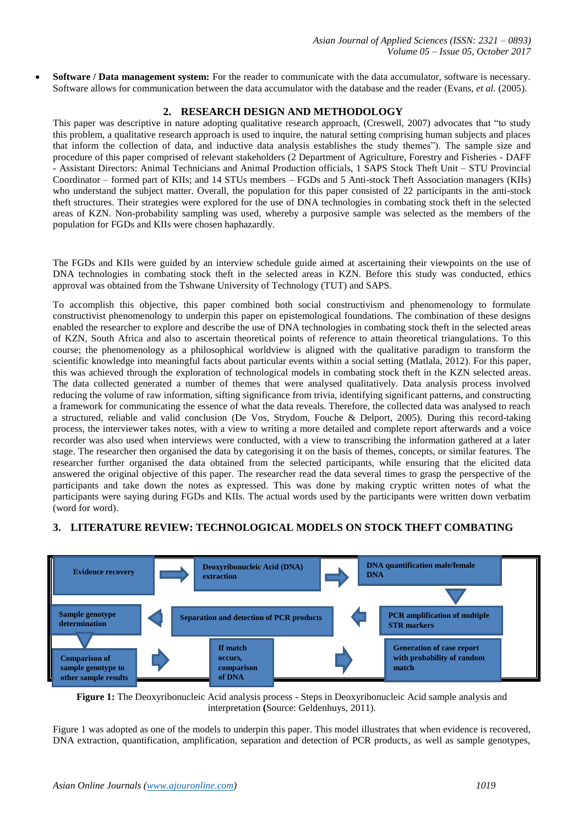**Software / Data management system:** For the reader to communicate with the data accumulator, software is necessary. Software allows for communication between the data accumulator with the database and the reader (Evans, *et al.* (2005).

## **2. RESEARCH DESIGN AND METHODOLOGY**

This paper was descriptive in nature adopting qualitative research approach, (Creswell, 2007) advocates that "to study this problem, a qualitative research approach is used to inquire, the natural setting comprising human subjects and places that inform the collection of data, and inductive data analysis establishes the study themes"). The sample size and procedure of this paper comprised of relevant stakeholders (2 Department of Agriculture, Forestry and Fisheries - DAFF - Assistant Directors: Animal Technicians and Animal Production officials, 1 SAPS Stock Theft Unit – STU Provincial Coordinator – formed part of KIIs; and 14 STUs members – FGDs and 5 Anti-stock Theft Association managers (KIIs) who understand the subject matter. Overall, the population for this paper consisted of 22 participants in the anti-stock theft structures. Their strategies were explored for the use of DNA technologies in combating stock theft in the selected areas of KZN. Non-probability sampling was used, whereby a purposive sample was selected as the members of the population for FGDs and KIIs were chosen haphazardly.

The FGDs and KIIs were guided by an interview schedule guide aimed at ascertaining their viewpoints on the use of DNA technologies in combating stock theft in the selected areas in KZN. Before this study was conducted, ethics approval was obtained from the Tshwane University of Technology (TUT) and SAPS.

To accomplish this objective, this paper combined both social constructivism and phenomenology to formulate constructivist phenomenology to underpin this paper on epistemological foundations. The combination of these designs enabled the researcher to explore and describe the use of DNA technologies in combating stock theft in the selected areas of KZN, South Africa and also to ascertain theoretical points of reference to attain theoretical triangulations. To this course; the phenomenology as a philosophical worldview is aligned with the qualitative paradigm to transform the scientific knowledge into meaningful facts about particular events within a social setting (Matlala, 2012). For this paper, this was achieved through the exploration of technological models in combating stock theft in the KZN selected areas. The data collected generated a number of themes that were analysed qualitatively. Data analysis process involved reducing the volume of raw information, sifting significance from trivia, identifying significant patterns, and constructing a framework for communicating the essence of what the data reveals. Therefore, the collected data was analysed to reach a structured, reliable and valid conclusion (De Vos, Strydom, Fouche & Delport*,* 2005). During this record-taking process, the interviewer takes notes, with a view to writing a more detailed and complete report afterwards and a voice recorder was also used when interviews were conducted, with a view to transcribing the information gathered at a later stage. The researcher then organised the data by categorising it on the basis of themes, concepts, or similar features. The researcher further organised the data obtained from the selected participants, while ensuring that the elicited data answered the original objective of this paper. The researcher read the data several times to grasp the perspective of the participants and take down the notes as expressed. This was done by making cryptic written notes of what the participants were saying during FGDs and KIIs. The actual words used by the participants were written down verbatim (word for word).

# **3. LITERATURE REVIEW: TECHNOLOGICAL MODELS ON STOCK THEFT COMBATING**



**Figure 1:** The Deoxyribonucleic Acid analysis process - Steps in Deoxyribonucleic Acid sample analysis and interpretation (Source: Geldenhuys, 2011).

Figure 1 was adopted as one of the models to underpin this paper. This model illustrates that when evidence is recovered, DNA extraction, quantification, amplification, separation and detection of PCR products, as well as sample genotypes,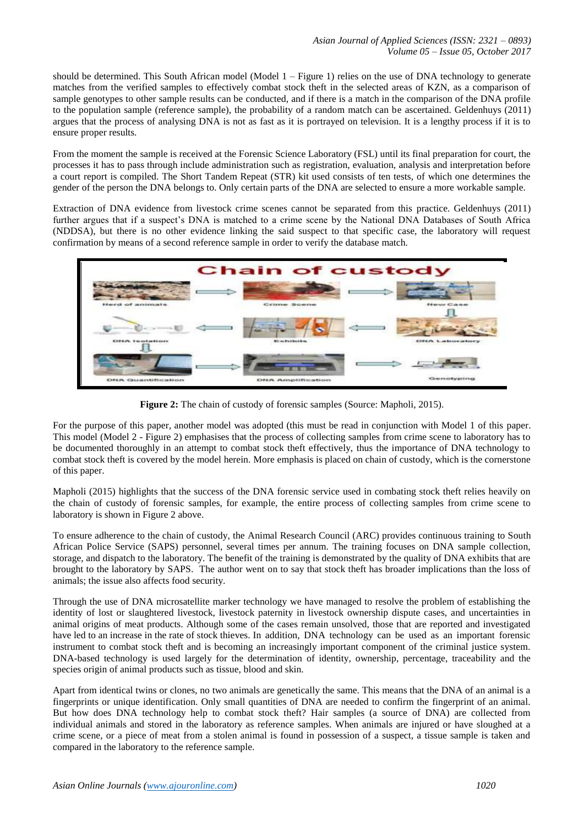should be determined. This South African model (Model 1 – Figure 1) relies on the use of DNA technology to generate matches from the verified samples to effectively combat stock theft in the selected areas of KZN, as a comparison of sample genotypes to other sample results can be conducted, and if there is a match in the comparison of the DNA profile to the population sample (reference sample), the probability of a random match can be ascertained. Geldenhuys (2011) argues that the process of analysing DNA is not as fast as it is portrayed on television. It is a lengthy process if it is to ensure proper results.

From the moment the sample is received at the Forensic Science Laboratory (FSL) until its final preparation for court, the processes it has to pass through include administration such as registration, evaluation, analysis and interpretation before a court report is compiled. The Short Tandem Repeat (STR) kit used consists of ten tests, of which one determines the gender of the person the DNA belongs to. Only certain parts of the DNA are selected to ensure a more workable sample.

Extraction of DNA evidence from livestock crime scenes cannot be separated from this practice. Geldenhuys (2011) further argues that if a suspect's DNA is matched to a crime scene by the National DNA Databases of South Africa (NDDSA), but there is no other evidence linking the said suspect to that specific case, the laboratory will request confirmation by means of a second reference sample in order to verify the database match.



**Figure 2:** The chain of custody of forensic samples (Source: Mapholi, 2015).

For the purpose of this paper, another model was adopted (this must be read in conjunction with Model 1 of this paper. This model (Model 2 - Figure 2) emphasises that the process of collecting samples from crime scene to laboratory has to be documented thoroughly in an attempt to combat stock theft effectively, thus the importance of DNA technology to combat stock theft is covered by the model herein. More emphasis is placed on chain of custody, which is the cornerstone of this paper.

Mapholi (2015) highlights that the success of the DNA forensic service used in combating stock theft relies heavily on the chain of custody of forensic samples, for example, the entire process of collecting samples from crime scene to laboratory is shown in Figure 2 above.

To ensure adherence to the chain of custody, the Animal Research Council (ARC) provides continuous training to South African Police Service (SAPS) personnel, several times per annum. The training focuses on DNA sample collection, storage, and dispatch to the laboratory. The benefit of the training is demonstrated by the quality of DNA exhibits that are brought to the laboratory by SAPS. The author went on to say that stock theft has broader implications than the loss of animals; the issue also affects food security.

Through the use of DNA microsatellite marker technology we have managed to resolve the problem of establishing the identity of lost or slaughtered livestock, livestock paternity in livestock ownership dispute cases, and uncertainties in animal origins of meat products. Although some of the cases remain unsolved, those that are reported and investigated have led to an increase in the rate of stock thieves. In addition, DNA technology can be used as an important forensic instrument to combat stock theft and is becoming an increasingly important component of the criminal justice system. DNA-based technology is used largely for the determination of identity, ownership, percentage, traceability and the species origin of animal products such as tissue, blood and skin.

Apart from identical twins or clones, no two animals are genetically the same. This means that the DNA of an animal is a fingerprints or unique identification. Only small quantities of DNA are needed to confirm the fingerprint of an animal. But how does DNA technology help to combat stock theft? Hair samples (a source of DNA) are collected from individual animals and stored in the laboratory as reference samples. When animals are injured or have sloughed at a crime scene, or a piece of meat from a stolen animal is found in possession of a suspect, a tissue sample is taken and compared in the laboratory to the reference sample.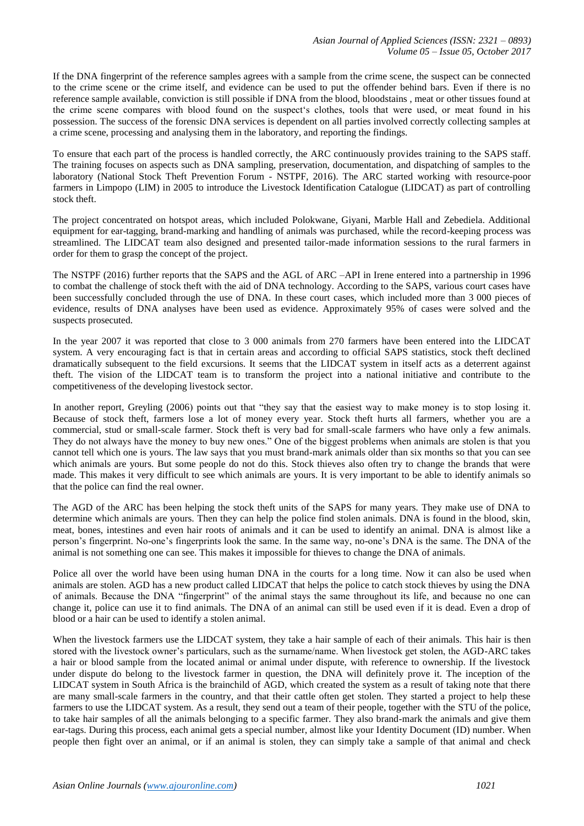If the DNA fingerprint of the reference samples agrees with a sample from the crime scene, the suspect can be connected to the crime scene or the crime itself, and evidence can be used to put the offender behind bars. Even if there is no reference sample available, conviction is still possible if DNA from the blood, bloodstains , meat or other tissues found at the crime scene compares with blood found on the suspect's clothes, tools that were used, or meat found in his possession. The success of the forensic DNA services is dependent on all parties involved correctly collecting samples at a crime scene, processing and analysing them in the laboratory, and reporting the findings.

To ensure that each part of the process is handled correctly, the ARC continuously provides training to the SAPS staff. The training focuses on aspects such as DNA sampling, preservation, documentation, and dispatching of samples to the laboratory (National Stock Theft Prevention Forum - NSTPF, 2016). The ARC started working with resource-poor farmers in Limpopo (LIM) in 2005 to introduce the Livestock Identification Catalogue (LIDCAT) as part of controlling stock theft.

The project concentrated on hotspot areas, which included Polokwane, Giyani, Marble Hall and Zebediela. Additional equipment for ear-tagging, brand-marking and handling of animals was purchased, while the record-keeping process was streamlined. The LIDCAT team also designed and presented tailor-made information sessions to the rural farmers in order for them to grasp the concept of the project.

The NSTPF (2016) further reports that the SAPS and the AGL of ARC –API in Irene entered into a partnership in 1996 to combat the challenge of stock theft with the aid of DNA technology. According to the SAPS, various court cases have been successfully concluded through the use of DNA. In these court cases, which included more than 3 000 pieces of evidence, results of DNA analyses have been used as evidence. Approximately 95% of cases were solved and the suspects prosecuted.

In the year 2007 it was reported that close to 3 000 animals from 270 farmers have been entered into the LIDCAT system. A very encouraging fact is that in certain areas and according to official SAPS statistics, stock theft declined dramatically subsequent to the field excursions. It seems that the LIDCAT system in itself acts as a deterrent against theft. The vision of the LIDCAT team is to transform the project into a national initiative and contribute to the competitiveness of the developing livestock sector.

In another report, Greyling (2006) points out that "they say that the easiest way to make money is to stop losing it. Because of stock theft, farmers lose a lot of money every year. Stock theft hurts all farmers, whether you are a commercial, stud or small-scale farmer. Stock theft is very bad for small-scale farmers who have only a few animals. They do not always have the money to buy new ones." One of the biggest problems when animals are stolen is that you cannot tell which one is yours. The law says that you must brand-mark animals older than six months so that you can see which animals are yours. But some people do not do this. Stock thieves also often try to change the brands that were made. This makes it very difficult to see which animals are yours. It is very important to be able to identify animals so that the police can find the real owner.

The AGD of the ARC has been helping the stock theft units of the SAPS for many years. They make use of DNA to determine which animals are yours. Then they can help the police find stolen animals. DNA is found in the blood, skin, meat, bones, intestines and even hair roots of animals and it can be used to identify an animal. DNA is almost like a person's fingerprint. No-one's fingerprints look the same. In the same way, no-one's DNA is the same. The DNA of the animal is not something one can see. This makes it impossible for thieves to change the DNA of animals.

Police all over the world have been using human DNA in the courts for a long time. Now it can also be used when animals are stolen. AGD has a new product called LIDCAT that helps the police to catch stock thieves by using the DNA of animals. Because the DNA "fingerprint" of the animal stays the same throughout its life, and because no one can change it, police can use it to find animals. The DNA of an animal can still be used even if it is dead. Even a drop of blood or a hair can be used to identify a stolen animal.

When the livestock farmers use the LIDCAT system, they take a hair sample of each of their animals. This hair is then stored with the livestock owner's particulars, such as the surname/name. When livestock get stolen, the AGD-ARC takes a hair or blood sample from the located animal or animal under dispute, with reference to ownership. If the livestock under dispute do belong to the livestock farmer in question, the DNA will definitely prove it. The inception of the LIDCAT system in South Africa is the brainchild of AGD, which created the system as a result of taking note that there are many small-scale farmers in the country, and that their cattle often get stolen. They started a project to help these farmers to use the LIDCAT system. As a result, they send out a team of their people, together with the STU of the police, to take hair samples of all the animals belonging to a specific farmer. They also brand-mark the animals and give them ear-tags. During this process, each animal gets a special number, almost like your Identity Document (ID) number. When people then fight over an animal, or if an animal is stolen, they can simply take a sample of that animal and check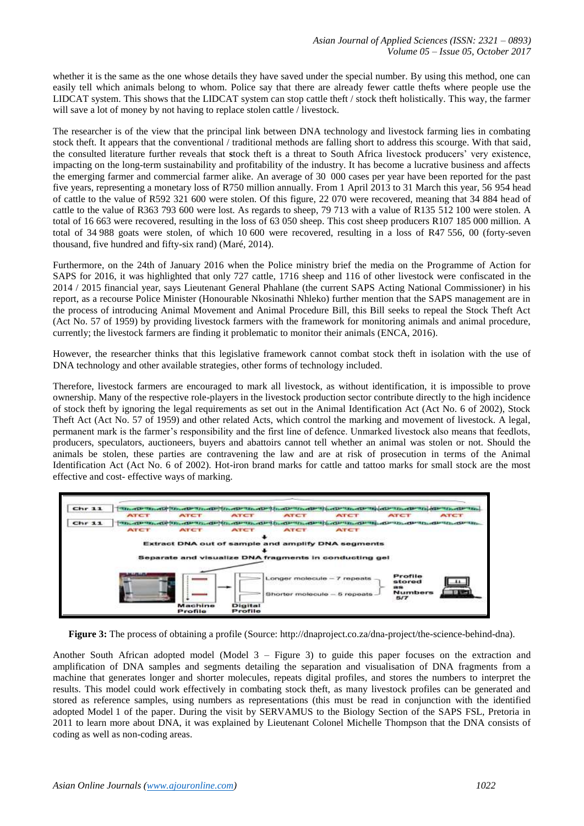whether it is the same as the one whose details they have saved under the special number. By using this method, one can easily tell which animals belong to whom. Police say that there are already fewer cattle thefts where people use the LIDCAT system. This shows that the LIDCAT system can stop cattle theft / stock theft holistically. This way, the farmer will save a lot of money by not having to replace stolen cattle / livestock.

The researcher is of the view that the principal link between DNA technology and livestock farming lies in combating stock theft. It appears that the conventional / traditional methods are falling short to address this scourge. With that said, the consulted literature further reveals that **s**tock theft is a threat to South Africa livestock producers' very existence, impacting on the long-term sustainability and profitability of the industry. It has become a lucrative business and affects the emerging farmer and commercial farmer alike. An average of 30 000 cases per year have been reported for the past five years, representing a monetary loss of R750 million annually. From 1 April 2013 to 31 March this year, 56 954 head of cattle to the value of R592 321 600 were stolen. Of this figure, 22 070 were recovered, meaning that 34 884 head of cattle to the value of R363 793 600 were lost. As regards to sheep, 79 713 with a value of R135 512 100 were stolen. A total of 16 663 were recovered, resulting in the loss of 63 050 sheep. This cost sheep producers R107 185 000 million. A total of 34 988 goats were stolen, of which 10 600 were recovered, resulting in a loss of R47 556, 00 (forty-seven thousand, five hundred and fifty-six rand) (Maré, 2014).

Furthermore, on the 24th of January 2016 when the Police ministry brief the media on the Programme of Action for SAPS for 2016, it was highlighted that only 727 cattle, 1716 sheep and 116 of other livestock were confiscated in the 2014 / 2015 financial year, says Lieutenant General Phahlane (the current SAPS Acting National Commissioner) in his report, as a recourse Police Minister (Honourable Nkosinathi Nhleko) further mention that the SAPS management are in the process of introducing Animal Movement and Animal Procedure Bill, this Bill seeks to repeal the Stock Theft Act (Act No. 57 of 1959) by providing livestock farmers with the framework for monitoring animals and animal procedure, currently; the livestock farmers are finding it problematic to monitor their animals (ENCA, 2016).

However, the researcher thinks that this legislative framework cannot combat stock theft in isolation with the use of DNA technology and other available strategies, other forms of technology included.

Therefore, livestock farmers are encouraged to mark all livestock, as without identification, it is impossible to prove ownership. Many of the respective role-players in the livestock production sector contribute directly to the high incidence of stock theft by ignoring the legal requirements as set out in the Animal Identification Act (Act No. 6 of 2002), Stock Theft Act (Act No. 57 of 1959) and other related Acts, which control the marking and movement of livestock. A legal, permanent mark is the farmer's responsibility and the first line of defence. Unmarked livestock also means that feedlots, producers, speculators, auctioneers, buyers and abattoirs cannot tell whether an animal was stolen or not. Should the animals be stolen, these parties are contravening the law and are at risk of prosecution in terms of the Animal Identification Act (Act No. 6 of 2002). Hot-iron brand marks for cattle and tattoo marks for small stock are the most effective and cost- effective ways of marking.



**Figure 3:** The process of obtaining a profile (Source: http://dnaproject.co.za/dna-project/the-science-behind-dna).

Another South African adopted model (Model 3 – Figure 3) to guide this paper focuses on the extraction and amplification of DNA samples and segments detailing the separation and visualisation of DNA fragments from a machine that generates longer and shorter molecules, repeats digital profiles, and stores the numbers to interpret the results. This model could work effectively in combating stock theft, as many livestock profiles can be generated and stored as reference samples, using numbers as representations (this must be read in conjunction with the identified adopted Model 1 of the paper. During the visit by SERVAMUS to the Biology Section of the SAPS FSL, Pretoria in 2011 to learn more about DNA, it was explained by Lieutenant Colonel Michelle Thompson that the DNA consists of coding as well as non-coding areas.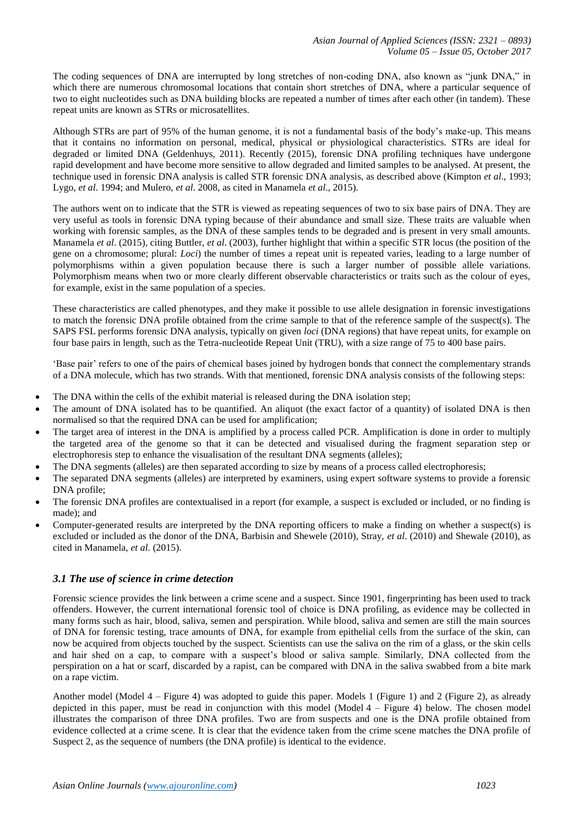The coding sequences of DNA are interrupted by long stretches of non-coding DNA, also known as "junk DNA," in which there are numerous chromosomal locations that contain short stretches of DNA, where a particular sequence of two to eight nucleotides such as DNA building blocks are repeated a number of times after each other (in tandem). These repeat units are known as STRs or microsatellites.

Although STRs are part of 95% of the human genome, it is not a fundamental basis of the body's make-up. This means that it contains no information on personal, medical, physical or physiological characteristics. STRs are ideal for degraded or limited DNA (Geldenhuys, 2011). Recently (2015), forensic DNA profiling techniques have undergone rapid development and have become more sensitive to allow degraded and limited samples to be analysed. At present, the technique used in forensic DNA analysis is called STR forensic DNA analysis, as described above (Kimpton *et al*., 1993; Lygo, *et al*. 1994; and Mulero, *et al*. 2008, as cited in Manamela *et al*., 2015).

The authors went on to indicate that the STR is viewed as repeating sequences of two to six base pairs of DNA. They are very useful as tools in forensic DNA typing because of their abundance and small size. These traits are valuable when working with forensic samples, as the DNA of these samples tends to be degraded and is present in very small amounts. Manamela *et al*. (2015), citing Buttler, *et al*. (2003), further highlight that within a specific STR locus (the position of the gene on a chromosome; plural: *Loci*) the number of times a repeat unit is repeated varies, leading to a large number of polymorphisms within a given population because there is such a larger number of possible allele variations. Polymorphism means when two or more clearly different observable characteristics or traits such as the colour of eyes, for example, exist in the same population of a species.

These characteristics are called phenotypes, and they make it possible to use allele designation in forensic investigations to match the forensic DNA profile obtained from the crime sample to that of the reference sample of the suspect(s). The SAPS FSL performs forensic DNA analysis, typically on given *loci* (DNA regions) that have repeat units, for example on four base pairs in length, such as the Tetra-nucleotide Repeat Unit (TRU), with a size range of 75 to 400 base pairs.

'Base pair' refers to one of the pairs of chemical bases joined by hydrogen bonds that connect the complementary strands of a DNA molecule, which has two strands. With that mentioned, forensic DNA analysis consists of the following steps:

- The DNA within the cells of the exhibit material is released during the DNA isolation step;
- The amount of DNA isolated has to be quantified. An aliquot (the exact factor of a quantity) of isolated DNA is then normalised so that the required DNA can be used for amplification;
- The target area of interest in the DNA is amplified by a process called PCR. Amplification is done in order to multiply the targeted area of the genome so that it can be detected and visualised during the fragment separation step or electrophoresis step to enhance the visualisation of the resultant DNA segments (alleles);
- The DNA segments (alleles) are then separated according to size by means of a process called electrophoresis;
- The separated DNA segments (alleles) are interpreted by examiners, using expert software systems to provide a forensic DNA profile;
- The forensic DNA profiles are contextualised in a report (for example, a suspect is excluded or included, or no finding is made); and
- Computer-generated results are interpreted by the DNA reporting officers to make a finding on whether a suspect(s) is excluded or included as the donor of the DNA, Barbisin and Shewele (2010), Stray, *et al*. (2010) and Shewale (2010), as cited in Manamela, *et al.* (2015).

## *3.1 The use of science in crime detection*

Forensic science provides the link between a crime scene and a suspect. Since 1901, fingerprinting has been used to track offenders. However, the current international forensic tool of choice is DNA profiling, as evidence may be collected in many forms such as hair, blood, saliva, semen and perspiration. While blood, saliva and semen are still the main sources of DNA for forensic testing, trace amounts of DNA, for example from epithelial cells from the surface of the skin, can now be acquired from objects touched by the suspect. Scientists can use the saliva on the rim of a glass, or the skin cells and hair shed on a cap, to compare with a suspect's blood or saliva sample. Similarly, DNA collected from the perspiration on a hat or scarf, discarded by a rapist, can be compared with DNA in the saliva swabbed from a bite mark on a rape victim.

Another model (Model  $4$  – Figure 4) was adopted to guide this paper. Models 1 (Figure 1) and 2 (Figure 2), as already depicted in this paper, must be read in conjunction with this model (Model 4 – Figure 4) below. The chosen model illustrates the comparison of three DNA profiles. Two are from suspects and one is the DNA profile obtained from evidence collected at a crime scene. It is clear that the evidence taken from the crime scene matches the DNA profile of Suspect 2, as the sequence of numbers (the DNA profile) is identical to the evidence.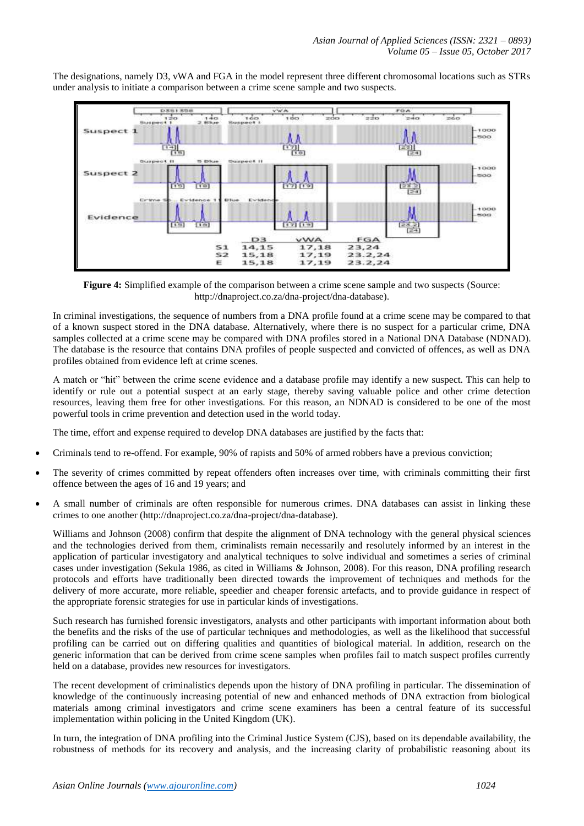

The designations, namely D3, vWA and FGA in the model represent three different chromosomal locations such as STRs under analysis to initiate a comparison between a crime scene sample and two suspects.

**Figure 4:** Simplified example of the comparison between a crime scene sample and two suspects (Source: http://dnaproject.co.za/dna-project/dna-database).

In criminal investigations, the sequence of numbers from a DNA profile found at a crime scene may be compared to that of a known suspect stored in the DNA database. Alternatively, where there is no suspect for a particular crime, DNA samples collected at a crime scene may be compared with DNA profiles stored in a National DNA Database (NDNAD). The database is the resource that contains DNA profiles of people suspected and convicted of offences, as well as DNA profiles obtained from evidence left at crime scenes.

A match or "hit" between the crime scene evidence and a database profile may identify a new suspect. This can help to identify or rule out a potential suspect at an early stage, thereby saving valuable police and other crime detection resources, leaving them free for other investigations. For this reason, an NDNAD is considered to be one of the most powerful tools in crime prevention and detection used in the world today.

The time, effort and expense required to develop DNA databases are justified by the facts that:

- Criminals tend to re-offend. For example, 90% of rapists and 50% of armed robbers have a previous conviction;
- The severity of crimes committed by repeat offenders often increases over time, with criminals committing their first offence between the ages of 16 and 19 years; and
- A small number of criminals are often responsible for numerous crimes. DNA databases can assist in linking these crimes to one another (http://dnaproject.co.za/dna-project/dna-database).

Williams and Johnson (2008) confirm that despite the alignment of DNA technology with the general physical sciences and the technologies derived from them, criminalists remain necessarily and resolutely informed by an interest in the application of particular investigatory and analytical techniques to solve individual and sometimes a series of criminal cases under investigation (Sekula 1986, as cited in Williams & Johnson, 2008). For this reason, DNA profiling research protocols and efforts have traditionally been directed towards the improvement of techniques and methods for the delivery of more accurate, more reliable, speedier and cheaper forensic artefacts, and to provide guidance in respect of the appropriate forensic strategies for use in particular kinds of investigations.

Such research has furnished forensic investigators, analysts and other participants with important information about both the benefits and the risks of the use of particular techniques and methodologies, as well as the likelihood that successful profiling can be carried out on differing qualities and quantities of biological material. In addition, research on the generic information that can be derived from crime scene samples when profiles fail to match suspect profiles currently held on a database, provides new resources for investigators.

The recent development of criminalistics depends upon the history of DNA profiling in particular. The dissemination of knowledge of the continuously increasing potential of new and enhanced methods of DNA extraction from biological materials among criminal investigators and crime scene examiners has been a central feature of its successful implementation within policing in the United Kingdom (UK).

In turn, the integration of DNA profiling into the Criminal Justice System (CJS), based on its dependable availability, the robustness of methods for its recovery and analysis, and the increasing clarity of probabilistic reasoning about its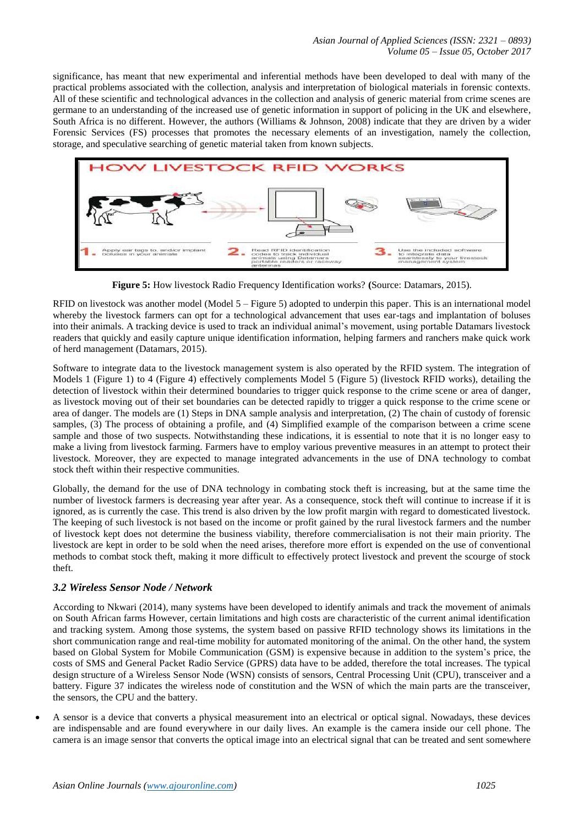significance, has meant that new experimental and inferential methods have been developed to deal with many of the practical problems associated with the collection, analysis and interpretation of biological materials in forensic contexts. All of these scientific and technological advances in the collection and analysis of generic material from crime scenes are germane to an understanding of the increased use of genetic information in support of policing in the UK and elsewhere, South Africa is no different. However, the authors (Williams & Johnson, 2008) indicate that they are driven by a wider Forensic Services (FS) processes that promotes the necessary elements of an investigation, namely the collection, storage, and speculative searching of genetic material taken from known subjects.



**Figure 5:** How livestock Radio Frequency Identification works? **(**Source: Datamars, 2015).

RFID on livestock was another model (Model 5 – Figure 5) adopted to underpin this paper. This is an international model whereby the livestock farmers can opt for a technological advancement that uses ear-tags and implantation of boluses into their animals. A tracking device is used to track an individual animal's movement, using portable Datamars livestock readers that quickly and easily capture unique identification information, helping farmers and ranchers make quick work of herd management (Datamars, 2015).

Software to integrate data to the livestock management system is also operated by the RFID system. The integration of Models 1 (Figure 1) to 4 (Figure 4) effectively complements Model 5 (Figure 5) (livestock RFID works), detailing the detection of livestock within their determined boundaries to trigger quick response to the crime scene or area of danger, as livestock moving out of their set boundaries can be detected rapidly to trigger a quick response to the crime scene or area of danger. The models are (1) Steps in DNA sample analysis and interpretation, (2) The chain of custody of forensic samples, (3) The process of obtaining a profile, and (4) Simplified example of the comparison between a crime scene sample and those of two suspects. Notwithstanding these indications, it is essential to note that it is no longer easy to make a living from livestock farming. Farmers have to employ various preventive measures in an attempt to protect their livestock. Moreover, they are expected to manage integrated advancements in the use of DNA technology to combat stock theft within their respective communities.

Globally, the demand for the use of DNA technology in combating stock theft is increasing, but at the same time the number of livestock farmers is decreasing year after year. As a consequence, stock theft will continue to increase if it is ignored, as is currently the case. This trend is also driven by the low profit margin with regard to domesticated livestock. The keeping of such livestock is not based on the income or profit gained by the rural livestock farmers and the number of livestock kept does not determine the business viability, therefore commercialisation is not their main priority. The livestock are kept in order to be sold when the need arises, therefore more effort is expended on the use of conventional methods to combat stock theft, making it more difficult to effectively protect livestock and prevent the scourge of stock theft.

# *3.2 Wireless Sensor Node / Network*

According to Nkwari (2014), many systems have been developed to identify animals and track the movement of animals on South African farms However, certain limitations and high costs are characteristic of the current animal identification and tracking system. Among those systems, the system based on passive RFID technology shows its limitations in the short communication range and real-time mobility for automated monitoring of the animal. On the other hand, the system based on Global System for Mobile Communication (GSM) is expensive because in addition to the system's price, the costs of SMS and General Packet Radio Service (GPRS) data have to be added, therefore the total increases. The typical design structure of a Wireless Sensor Node (WSN) consists of sensors, Central Processing Unit (CPU), transceiver and a battery. Figure 37 indicates the wireless node of constitution and the WSN of which the main parts are the transceiver, the sensors, the CPU and the battery.

 A sensor is a device that converts a physical measurement into an electrical or optical signal. Nowadays, these devices are indispensable and are found everywhere in our daily lives. An example is the camera inside our cell phone. The camera is an image sensor that converts the optical image into an electrical signal that can be treated and sent somewhere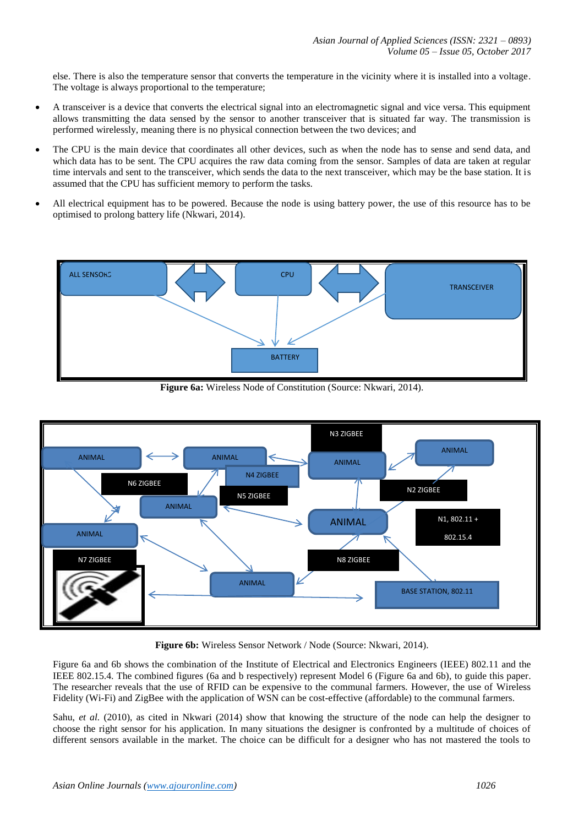else. There is also the temperature sensor that converts the temperature in the vicinity where it is installed into a voltage. The voltage is always proportional to the temperature;

- A transceiver is a device that converts the electrical signal into an electromagnetic signal and vice versa. This equipment allows transmitting the data sensed by the sensor to another transceiver that is situated far way. The transmission is performed wirelessly, meaning there is no physical connection between the two devices; and
- The CPU is the main device that coordinates all other devices, such as when the node has to sense and send data, and which data has to be sent. The CPU acquires the raw data coming from the sensor. Samples of data are taken at regular time intervals and sent to the transceiver, which sends the data to the next transceiver, which may be the base station. It is assumed that the CPU has sufficient memory to perform the tasks.
- All electrical equipment has to be powered. Because the node is using battery power, the use of this resource has to be optimised to prolong battery life (Nkwari, 2014).



**Figure 6a:** Wireless Node of Constitution (Source: Nkwari, 2014).



**Figure 6b:** Wireless Sensor Network / Node (Source: Nkwari, 2014).

Figure 6a and 6b shows the combination of the Institute of Electrical and Electronics Engineers (IEEE) 802.11 and the IEEE 802.15.4. The combined figures (6a and b respectively) represent Model 6 (Figure 6a and 6b), to guide this paper. The researcher reveals that the use of RFID can be expensive to the communal farmers. However, the use of Wireless Fidelity (Wi-Fi) and ZigBee with the application of WSN can be cost-effective (affordable) to the communal farmers.

Sahu, *et al.* (2010), as cited in Nkwari (2014) show that knowing the structure of the node can help the designer to choose the right sensor for his application. In many situations the designer is confronted by a multitude of choices of different sensors available in the market. The choice can be difficult for a designer who has not mastered the tools to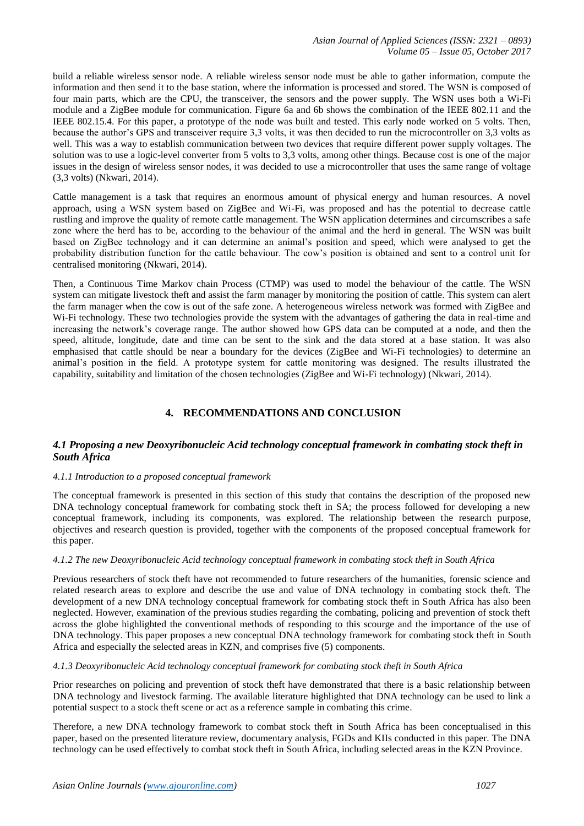build a reliable wireless sensor node. A reliable wireless sensor node must be able to gather information, compute the information and then send it to the base station, where the information is processed and stored. The WSN is composed of four main parts, which are the CPU, the transceiver, the sensors and the power supply. The WSN uses both a Wi-Fi module and a ZigBee module for communication. Figure 6a and 6b shows the combination of the IEEE 802.11 and the IEEE 802.15.4. For this paper, a prototype of the node was built and tested. This early node worked on 5 volts. Then, because the author's GPS and transceiver require 3,3 volts, it was then decided to run the microcontroller on 3,3 volts as well. This was a way to establish communication between two devices that require different power supply voltages. The solution was to use a logic-level converter from 5 volts to 3,3 volts, among other things. Because cost is one of the major issues in the design of wireless sensor nodes, it was decided to use a microcontroller that uses the same range of voltage (3,3 volts) (Nkwari, 2014).

Cattle management is a task that requires an enormous amount of physical energy and human resources. A novel approach, using a WSN system based on ZigBee and Wi-Fi, was proposed and has the potential to decrease cattle rustling and improve the quality of remote cattle management. The WSN application determines and circumscribes a safe zone where the herd has to be, according to the behaviour of the animal and the herd in general. The WSN was built based on ZigBee technology and it can determine an animal's position and speed, which were analysed to get the probability distribution function for the cattle behaviour. The cow's position is obtained and sent to a control unit for centralised monitoring (Nkwari, 2014).

Then, a Continuous Time Markov chain Process (CTMP) was used to model the behaviour of the cattle. The WSN system can mitigate livestock theft and assist the farm manager by monitoring the position of cattle. This system can alert the farm manager when the cow is out of the safe zone. A heterogeneous wireless network was formed with ZigBee and Wi-Fi technology. These two technologies provide the system with the advantages of gathering the data in real-time and increasing the network's coverage range. The author showed how GPS data can be computed at a node, and then the speed, altitude, longitude, date and time can be sent to the sink and the data stored at a base station. It was also emphasised that cattle should be near a boundary for the devices (ZigBee and Wi-Fi technologies) to determine an animal's position in the field. A prototype system for cattle monitoring was designed. The results illustrated the capability, suitability and limitation of the chosen technologies (ZigBee and Wi-Fi technology) (Nkwari, 2014).

# **4. RECOMMENDATIONS AND CONCLUSION**

## *4.1 Proposing a new Deoxyribonucleic Acid technology conceptual framework in combating stock theft in South Africa*

## *4.1.1 Introduction to a proposed conceptual framework*

The conceptual framework is presented in this section of this study that contains the description of the proposed new DNA technology conceptual framework for combating stock theft in SA; the process followed for developing a new conceptual framework, including its components, was explored. The relationship between the research purpose, objectives and research question is provided, together with the components of the proposed conceptual framework for this paper.

## *4.1.2 The new Deoxyribonucleic Acid technology conceptual framework in combating stock theft in South Africa*

Previous researchers of stock theft have not recommended to future researchers of the humanities, forensic science and related research areas to explore and describe the use and value of DNA technology in combating stock theft. The development of a new DNA technology conceptual framework for combating stock theft in South Africa has also been neglected. However, examination of the previous studies regarding the combating, policing and prevention of stock theft across the globe highlighted the conventional methods of responding to this scourge and the importance of the use of DNA technology. This paper proposes a new conceptual DNA technology framework for combating stock theft in South Africa and especially the selected areas in KZN, and comprises five (5) components.

## *4.1.3 Deoxyribonucleic Acid technology conceptual framework for combating stock theft in South Africa*

Prior researches on policing and prevention of stock theft have demonstrated that there is a basic relationship between DNA technology and livestock farming. The available literature highlighted that DNA technology can be used to link a potential suspect to a stock theft scene or act as a reference sample in combating this crime.

Therefore, a new DNA technology framework to combat stock theft in South Africa has been conceptualised in this paper, based on the presented literature review, documentary analysis, FGDs and KIIs conducted in this paper. The DNA technology can be used effectively to combat stock theft in South Africa, including selected areas in the KZN Province.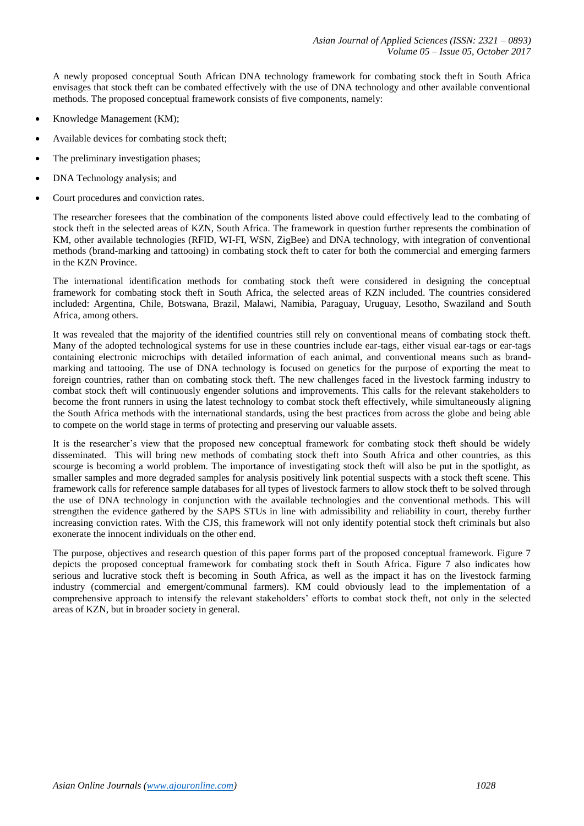A newly proposed conceptual South African DNA technology framework for combating stock theft in South Africa envisages that stock theft can be combated effectively with the use of DNA technology and other available conventional methods. The proposed conceptual framework consists of five components, namely:

- Knowledge Management (KM);
- Available devices for combating stock theft;
- The preliminary investigation phases;
- DNA Technology analysis; and
- Court procedures and conviction rates.

The researcher foresees that the combination of the components listed above could effectively lead to the combating of stock theft in the selected areas of KZN, South Africa. The framework in question further represents the combination of KM, other available technologies (RFID, WI-FI, WSN, ZigBee) and DNA technology, with integration of conventional methods (brand-marking and tattooing) in combating stock theft to cater for both the commercial and emerging farmers in the KZN Province.

The international identification methods for combating stock theft were considered in designing the conceptual framework for combating stock theft in South Africa, the selected areas of KZN included. The countries considered included: Argentina, Chile, Botswana, Brazil, Malawi, Namibia, Paraguay, Uruguay, Lesotho, Swaziland and South Africa, among others.

It was revealed that the majority of the identified countries still rely on conventional means of combating stock theft. Many of the adopted technological systems for use in these countries include ear-tags, either visual ear-tags or ear-tags containing electronic microchips with detailed information of each animal, and conventional means such as brandmarking and tattooing. The use of DNA technology is focused on genetics for the purpose of exporting the meat to foreign countries, rather than on combating stock theft. The new challenges faced in the livestock farming industry to combat stock theft will continuously engender solutions and improvements. This calls for the relevant stakeholders to become the front runners in using the latest technology to combat stock theft effectively, while simultaneously aligning the South Africa methods with the international standards, using the best practices from across the globe and being able to compete on the world stage in terms of protecting and preserving our valuable assets.

It is the researcher's view that the proposed new conceptual framework for combating stock theft should be widely disseminated. This will bring new methods of combating stock theft into South Africa and other countries, as this scourge is becoming a world problem. The importance of investigating stock theft will also be put in the spotlight, as smaller samples and more degraded samples for analysis positively link potential suspects with a stock theft scene. This framework calls for reference sample databases for all types of livestock farmers to allow stock theft to be solved through the use of DNA technology in conjunction with the available technologies and the conventional methods. This will strengthen the evidence gathered by the SAPS STUs in line with admissibility and reliability in court, thereby further increasing conviction rates. With the CJS, this framework will not only identify potential stock theft criminals but also exonerate the innocent individuals on the other end.

The purpose, objectives and research question of this paper forms part of the proposed conceptual framework. Figure 7 depicts the proposed conceptual framework for combating stock theft in South Africa. Figure 7 also indicates how serious and lucrative stock theft is becoming in South Africa, as well as the impact it has on the livestock farming industry (commercial and emergent/communal farmers). KM could obviously lead to the implementation of a comprehensive approach to intensify the relevant stakeholders' efforts to combat stock theft, not only in the selected areas of KZN, but in broader society in general.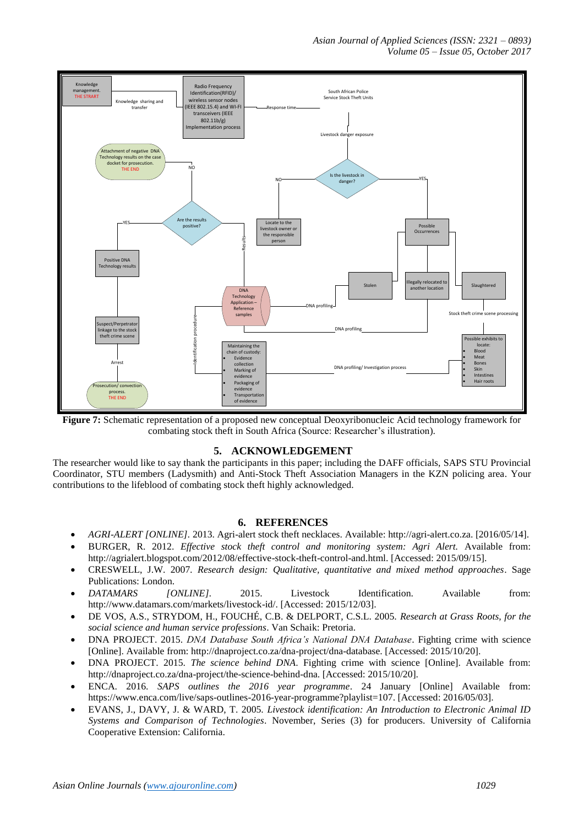*Asian Journal of Applied Sciences (ISSN: 2321 – 0893) Volume 05 – Issue 05, October 2017*



**Figure 7:** Schematic representation of a proposed new conceptual Deoxyribonucleic Acid technology framework for combating stock theft in South Africa (Source: Researcher's illustration).

## **5. ACKNOWLEDGEMENT**

The researcher would like to say thank the participants in this paper; including the DAFF officials, SAPS STU Provincial Coordinator, STU members (Ladysmith) and Anti-Stock Theft Association Managers in the KZN policing area. Your contributions to the lifeblood of combating stock theft highly acknowledged.

## **6. REFERENCES**

- *AGRI-ALERT [ONLINE].* 2013. Agri-alert stock theft necklaces. Available: http://agri-alert.co.za. [2016/05/14].
- BURGER, R. 2012. *Effective stock theft control and monitoring system: Agri Alert.* Available from: [http://agrialert.blogspot.com/2012/08/effective-stock-theft-control-and.html.](http://agrialert.blogspot.com/2012/08/effective-stock-theft-control-and.html) [Accessed: 2015/09/15].
- CRESWELL, J.W. 2007*. Research design: Qualitative, quantitative and mixed method approaches*. Sage Publications: London.
- *DATAMARS [ONLINE].* 2015. Livestock Identification. Available from: http://www.datamars.com/markets/livestock-id/. [Accessed: 2015/12/03].
- DE VOS, A.S., STRYDOM, H., FOUCHÉ, C.B. & DELPORT, C.S.L. 2005. *Research at Grass Roots, for the social science and human service professions*. Van Schaik: Pretoria.
- DNA PROJECT. 2015. *DNA Database South Africa's National DNA Database*. Fighting crime with science [Online]. Available from: http://dnaproject.co.za/dna-project/dna-database. [Accessed: 2015/10/20].
- DNA PROJECT. 2015. *The science behind DNA*. Fighting crime with science [Online]. Available from: http://dnaproject.co.za/dna-project/the-science-behind-dna. [Accessed: 2015/10/20].
- ENCA. 2016. *SAPS outlines the 2016 year programme*. 24 January [Online] Available from: https://www.enca.com/live/saps-outlines-2016-year-programme?playlist=107. [Accessed: 2016/05/03].
- EVANS, J., DAVY, J. & WARD, T. 2005. *Livestock identification: An Introduction to Electronic Animal ID Systems and Comparison of Technologies*. November, Series (3) for producers. University of California Cooperative Extension: California.